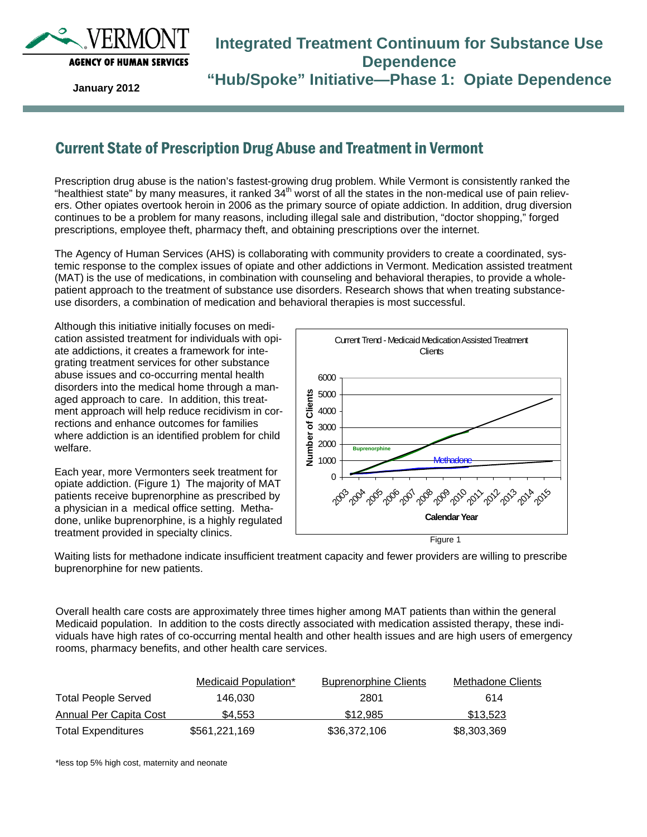

### **Integrated Treatment Continuum for Substance Use Dependence "Hub/Spoke" Initiative—Phase 1: Opiate Dependence**

**January 2012** 

### Current State of Prescription Drug Abuse and Treatment in Vermont

Prescription drug abuse is the nation's fastest-growing drug problem. While Vermont is consistently ranked the "healthiest state" by many measures, it ranked  $34<sup>th</sup>$  worst of all the states in the non-medical use of pain relievers. Other opiates overtook heroin in 2006 as the primary source of opiate addiction. In addition, drug diversion continues to be a problem for many reasons, including illegal sale and distribution, "doctor shopping," forged prescriptions, employee theft, pharmacy theft, and obtaining prescriptions over the internet.

The Agency of Human Services (AHS) is collaborating with community providers to create a coordinated, systemic response to the complex issues of opiate and other addictions in Vermont. Medication assisted treatment (MAT) is the use of medications, in combination with counseling and behavioral therapies, to provide a wholepatient approach to the treatment of substance use disorders. Research shows that when treating substanceuse disorders, a combination of medication and behavioral therapies is most successful.

Although this initiative initially focuses on medication assisted treatment for individuals with opiate addictions, it creates a framework for integrating treatment services for other substance abuse issues and co-occurring mental health disorders into the medical home through a managed approach to care. In addition, this treatment approach will help reduce recidivism in corrections and enhance outcomes for families where addiction is an identified problem for child welfare.

Each year, more Vermonters seek treatment for opiate addiction. (Figure 1) The majority of MAT patients receive buprenorphine as prescribed by a physician in a medical office setting. Methadone, unlike buprenorphine, is a highly regulated treatment provided in specialty clinics.



Waiting lists for methadone indicate insufficient treatment capacity and fewer providers are willing to prescribe buprenorphine for new patients.

Overall health care costs are approximately three times higher among MAT patients than within the general Medicaid population. In addition to the costs directly associated with medication assisted therapy, these individuals have high rates of co-occurring mental health and other health issues and are high users of emergency rooms, pharmacy benefits, and other health care services.

|                            | Medicaid Population* | <b>Buprenorphine Clients</b> | Methadone Clients |
|----------------------------|----------------------|------------------------------|-------------------|
| <b>Total People Served</b> | 146.030              | 2801                         | 614               |
| Annual Per Capita Cost     | \$4.553              | \$12.985                     | \$13,523          |
| <b>Total Expenditures</b>  | \$561,221,169        | \$36,372,106                 | \$8,303,369       |

\*less top 5% high cost, maternity and neonate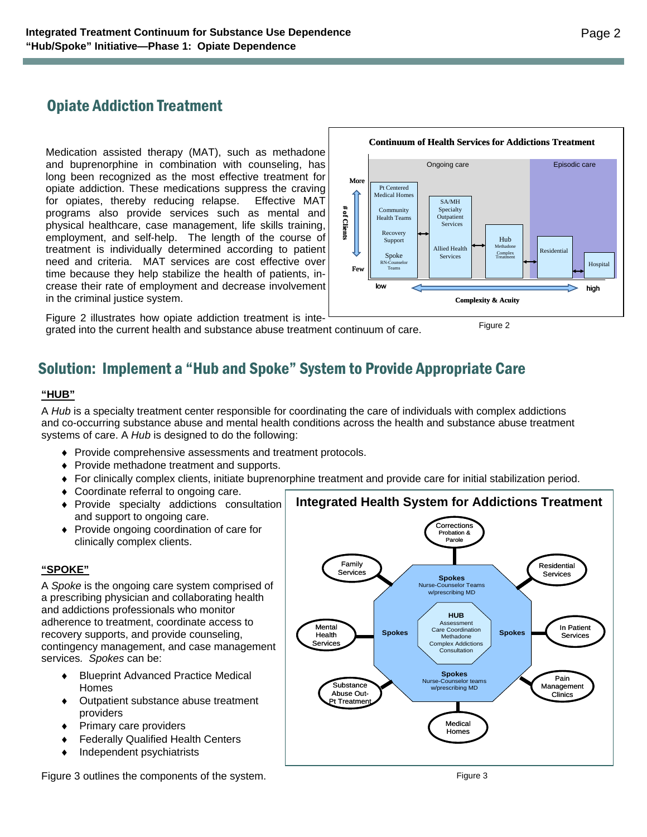# Opiate Addiction Treatment

Medication assisted therapy (MAT), such as methadone and buprenorphine in combination with counseling, has long been recognized as the most effective treatment for opiate addiction. These medications suppress the craving for opiates, thereby reducing relapse. Effective MAT programs also provide services such as mental and physical healthcare, case management, life skills training, employment, and self-help. The length of the course of treatment is individually determined according to patient need and criteria. MAT services are cost effective over time because they help stabilize the health of patients, increase their rate of employment and decrease involvement in the criminal justice system.



Figure 2 illustrates how opiate addiction treatment is integrated into the current health and substance abuse treatment continuum of care.

Figure 2

# Solution: Implement a "Hub and Spoke" System to Provide Appropriate Care

#### **"HUB"**

A *Hub* is a specialty treatment center responsible for coordinating the care of individuals with complex addictions and co-occurring substance abuse and mental health conditions across the health and substance abuse treatment systems of care. A *Hub* is designed to do the following:

- ♦ Provide comprehensive assessments and treatment protocols.
- ♦ Provide methadone treatment and supports.
- ♦ For clinically complex clients, initiate buprenorphine treatment and provide care for initial stabilization period.
- ♦ Coordinate referral to ongoing care.
- ♦ Provide specialty addictions consultation and support to ongoing care.
- ♦ Provide ongoing coordination of care for clinically complex clients.

#### **"SPOKE"**

A *Spoke* is the ongoing care system comprised of a prescribing physician and collaborating health and addictions professionals who monitor adherence to treatment, coordinate access to recovery supports, and provide counseling, contingency management, and case management services*. Spokes* can be:

- ♦ Blueprint Advanced Practice Medical Homes
- ♦ Outpatient substance abuse treatment providers
- Primary care providers
- **Federally Qualified Health Centers**
- Independent psychiatrists



Figure 3 outlines the components of the system.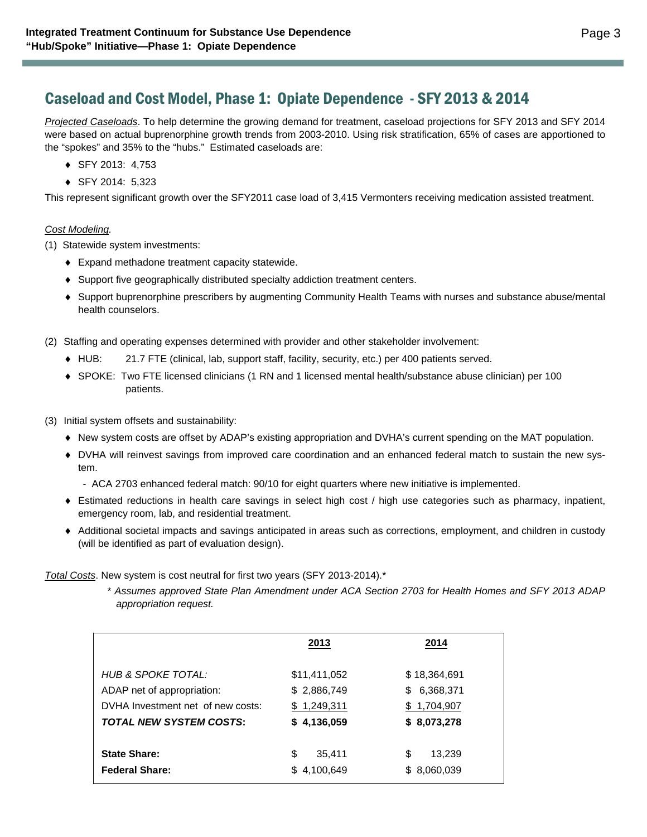### Caseload and Cost Model, Phase 1: Opiate Dependence - SFY 2013 & 2014

*Projected Caseloads*. To help determine the growing demand for treatment, caseload projections for SFY 2013 and SFY 2014 were based on actual buprenorphine growth trends from 2003-2010. Using risk stratification, 65% of cases are apportioned to the "spokes" and 35% to the "hubs." Estimated caseloads are:

- ♦ SFY 2013: 4,753
- ♦ SFY 2014: 5,323

This represent significant growth over the SFY2011 case load of 3,415 Vermonters receiving medication assisted treatment.

#### *Cost Modeling.*

(1) Statewide system investments:

- ♦ Expand methadone treatment capacity statewide.
- ♦ Support five geographically distributed specialty addiction treatment centers.
- ♦ Support buprenorphine prescribers by augmenting Community Health Teams with nurses and substance abuse/mental health counselors.

(2) Staffing and operating expenses determined with provider and other stakeholder involvement:

- ♦ HUB: 21.7 FTE (clinical, lab, support staff, facility, security, etc.) per 400 patients served.
- ♦ SPOKE: Two FTE licensed clinicians (1 RN and 1 licensed mental health/substance abuse clinician) per 100 patients.
- (3) Initial system offsets and sustainability:
	- ♦ New system costs are offset by ADAP's existing appropriation and DVHA's current spending on the MAT population.
	- ♦ DVHA will reinvest savings from improved care coordination and an enhanced federal match to sustain the new system.
		- ACA 2703 enhanced federal match: 90/10 for eight quarters where new initiative is implemented.
	- ♦ Estimated reductions in health care savings in select high cost / high use categories such as pharmacy, inpatient, emergency room, lab, and residential treatment.
	- ♦ Additional societal impacts and savings anticipated in areas such as corrections, employment, and children in custody (will be identified as part of evaluation design).

*Total Costs*. New system is cost neutral for first two years (SFY 2013-2014).\*

 \* *Assumes approved State Plan Amendment under ACA Section 2703 for Health Homes and SFY 2013 ADAP appropriation request.*

|                                                                                       | 2013                                       | 2014                                           |
|---------------------------------------------------------------------------------------|--------------------------------------------|------------------------------------------------|
| HUB & SPOKE TOTAL:<br>ADAP net of appropriation:<br>DVHA Investment net of new costs: | \$11,411,052<br>\$2,886,749<br>\$1,249,311 | \$18,364,691<br>6,368,371<br>S.<br>\$1,704,907 |
| <b>TOTAL NEW SYSTEM COSTS:</b>                                                        | \$4,136,059                                | \$8,073,278                                    |
| <b>State Share:</b><br><b>Federal Share:</b>                                          | \$<br>35.411<br>4,100,649<br>S.            | \$<br>13,239<br>8,060,039<br>\$.               |